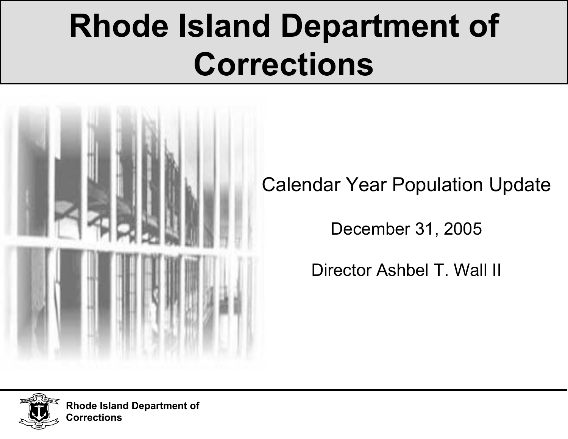# **Rhode Island Department of Corrections**



Calendar Year Population Update

December 31, 2005

Director Ashbel T. Wall II



**Rhode Island Department of Corrections**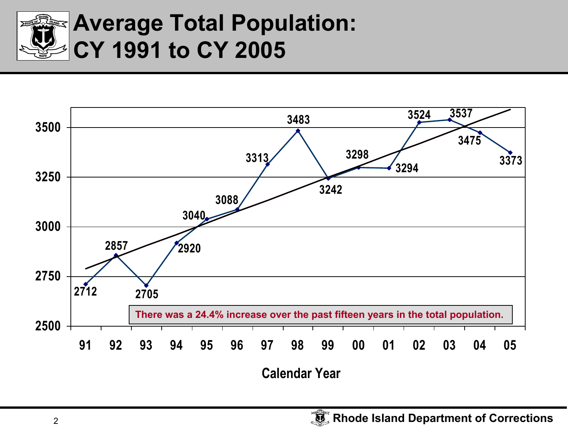

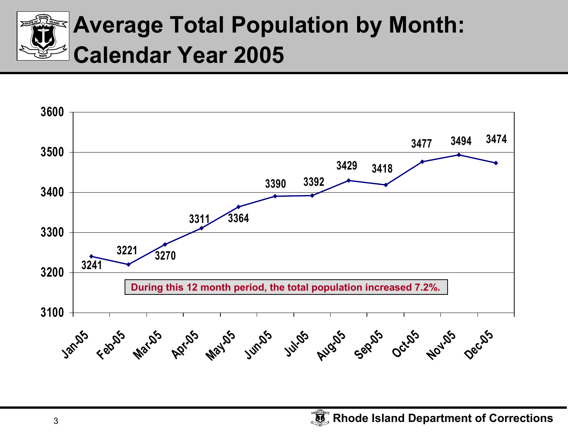

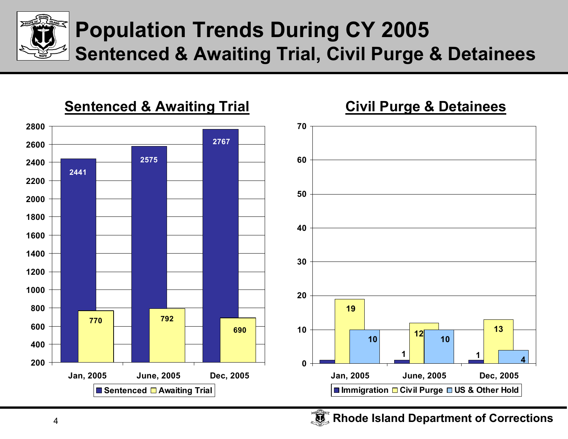

#### **Population Trends During CY 2005 Sentenced & Awaiting Trial, Civil Purge & Detainees**



**Rhode Island Department of Corrections**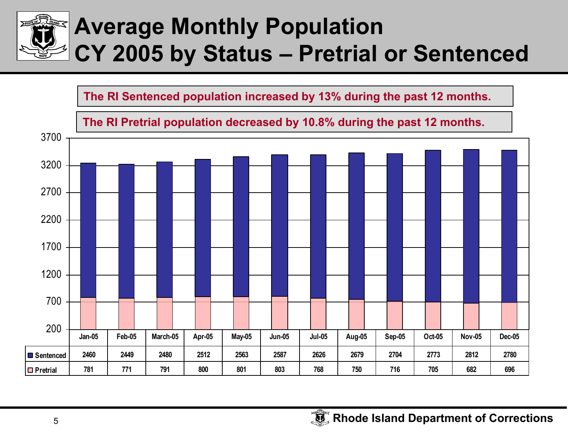

## **Average Monthly Population CY 2005 by Status – Pretrial or Sentenced**

**The RI Sentenced population increased by 13% during the past 12 months.**

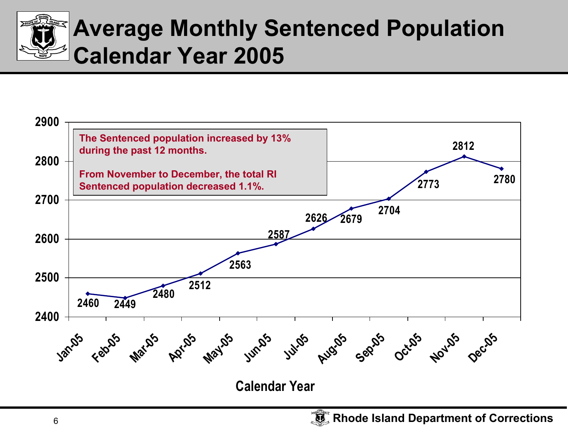

# **Average Monthly Sentenced Population Calendar Year 2005**

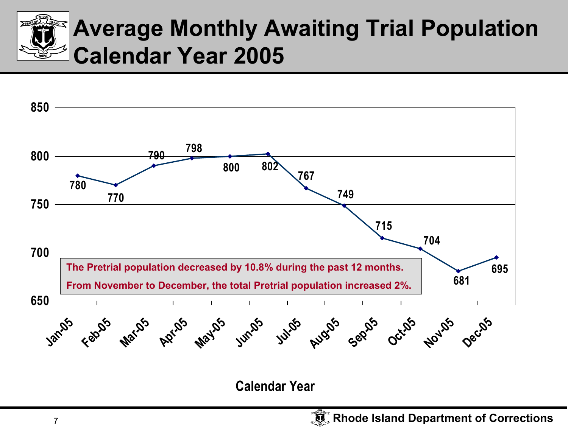



**Calendar Year**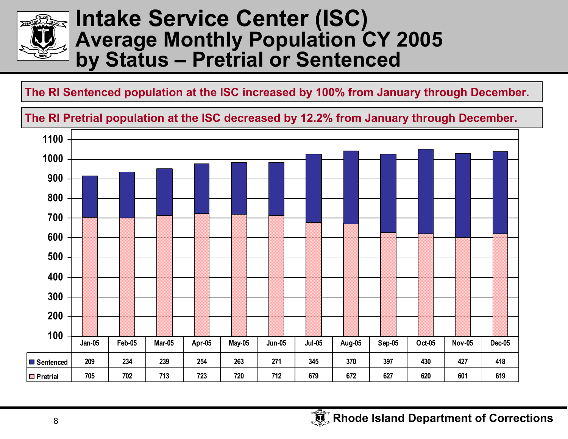

#### **Intake Service Center (ISC) Average Monthly Population CY 2005 by Status – Pretrial or Sentenced**

#### **The RI Sentenced population at the ISC increased by 100% from January t hrough December.**

#### The RI Pretrial population at the ISC decreased by 12.2% from January through December.

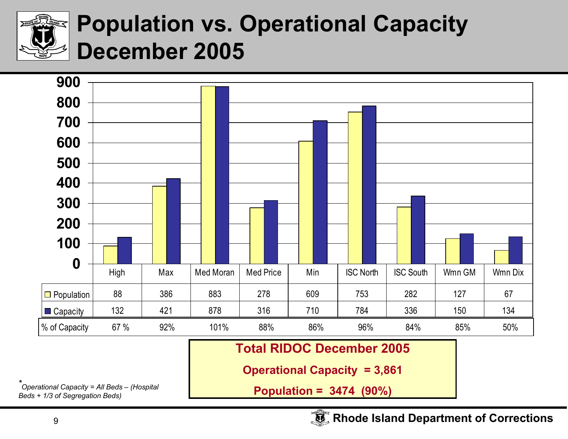

## **Population vs. Operational Capacity December 2005**

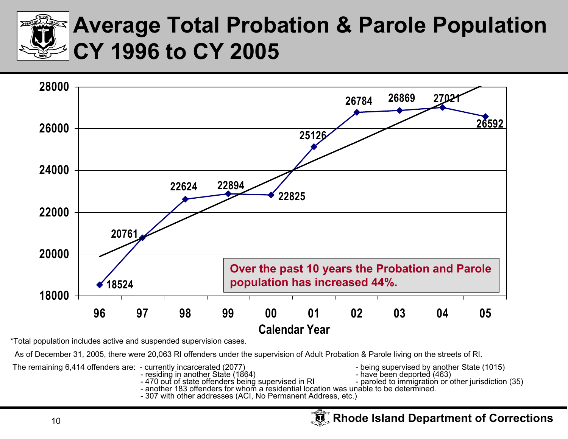

#### **Average Total Probation & Parole Population CY 1996 to CY 2005**



\*Total population includes active and suspended supervision case s.

As of December 31, 2005, there were 20,063 RI offenders under the supervision of Adult Probation & Parole living on the streets of RI.

The remaining 6,414 offenders are: - currently incarcerated (2077) - being supervised by another State (1015)<br>- residing in another State (1864) - have been deported (463)

- residing in another State (1864)
- 
- 
- paroled to immigration or other jurisdiction (35)
- residing in another State (1864) - have been deported (463)<br>- 470 out of state offenders being supervised in RI - paroled to immigration or o<br>- another 183 offenders for whom a residential location was un
-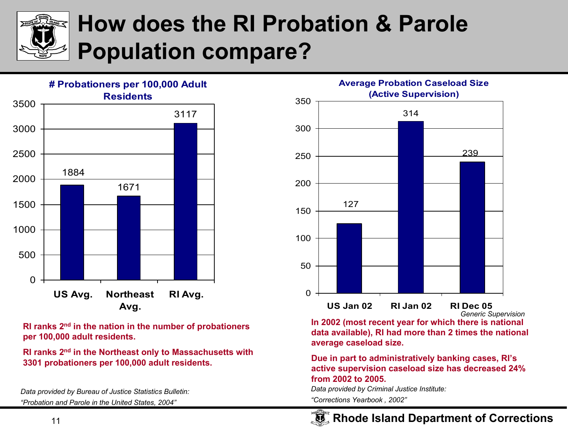

### **How does the RI Probation & Parole Population compare?**



**RI ranks 2n<sup>d</sup> in th e natio n in t h e number of probationers per 100,0 0 0 adult residents.** 

**RI ranks 2n<sup>d</sup> in t he Northeast only to Massachusetts with 3301 probationers per 100,000 adult resid ents.** 

*Data provided by Bureau of Justice Statistic s Bulletin: "Probation and Parole in the United States, 200 4"*



In 2002 (most recent year for which there is national **data available), RI had more than 2 times the natio nal average casel oad si ze.**

#### **Due i n part to administrativ ely banking cases, RI's active sup ervision caseload size has decreased 24%from 2002 to 2005.**

*Data provided by Criminal Justice Institute:*

*"Corrections Yearbook , 2002"*

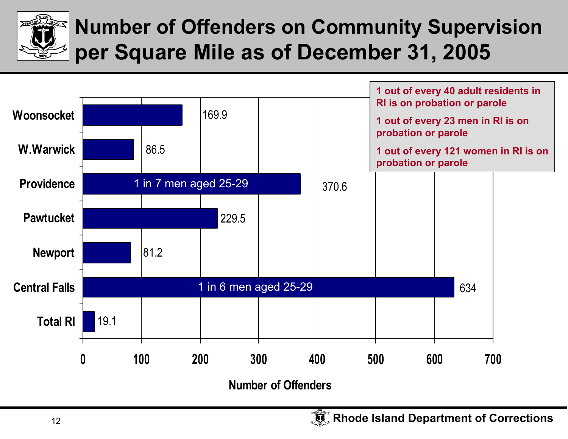

#### **Number of Offenders on Community Supervision per Square Mile as of December 31, 2005**

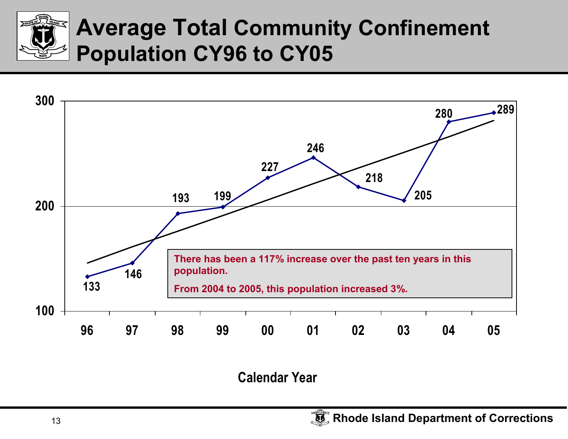



**Calendar Year**